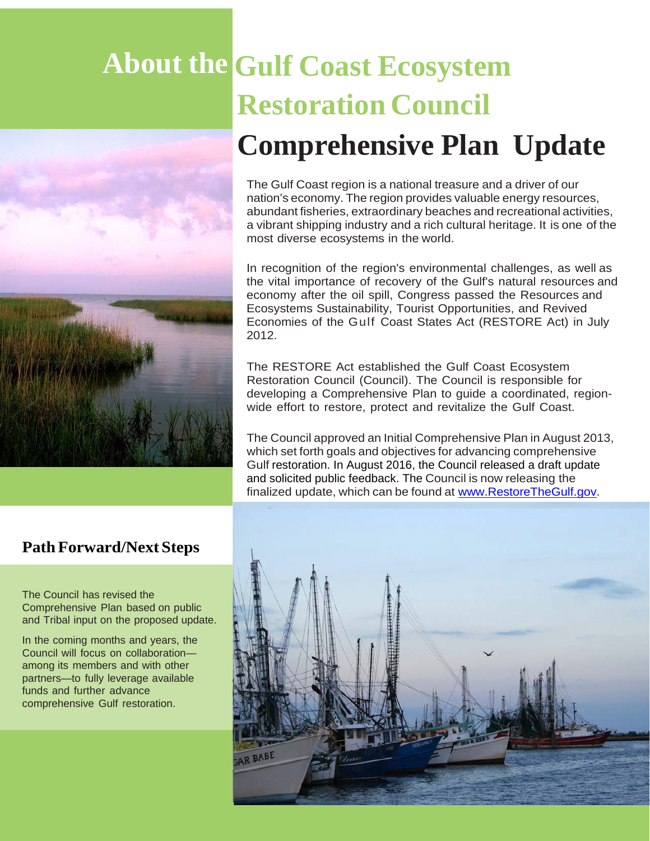# **About the Gulf Coast Ecosystem Restoration Council Comprehensive Plan Update**

The Gulf Coast region is a national treasure and a driver of our nation's economy. The region provides valuable energy resources, abundant fisheries, extraordinary beaches and recreational activities, a vibrant shipping industry and a rich cultural heritage. It is one of the most diverse ecosystems in the world.

In recognition of the region's environmental challenges, as well as the vital importance of recovery of the Gulf's natural resources and economy after the oil spill, Congress passed the Resources and Ecosystems Sustainability, Tourist Opportunities, and Revived Economies of the Gulf Coast States Act (RESTORE Act) in July 2012.

The RESTORE Act established the Gulf Coast Ecosystem Restoration Council (Council). The Council is responsible for developing a Comprehensive Plan to guide a coordinated, regionwide effort to restore, protect and revitalize the Gulf Coast.

The Council approved an Initial Comprehensive Plan in August 2013, which set forth goals and objectives for advancing comprehensive Gulf restoration. In August 2016, the Council released a draft update and solicited public feedback. The Council is now releasing the finalized update, which can be found at [www.RestoreTheGulf.gov.](http://www.restorethegulf.gov/)



The Council has revised the Comprehensive Plan based on public and Tribal input on the proposed update.

In the coming months and years, the Council will focus on collaboration among its members and with other partners—to fully leverage available funds and further advance comprehensive Gulf restoration.